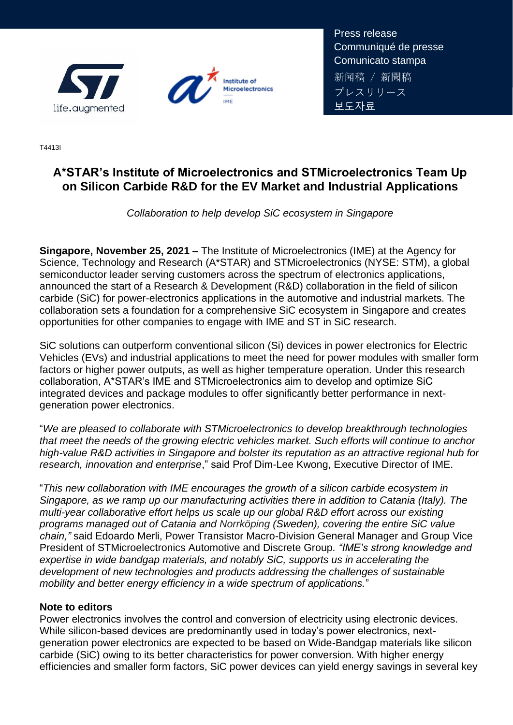



Press release Communiqué de presse Comunicato stampa 新闻稿 / 新聞稿 プレスリリース 보도자료

T4413I

# **A\*STAR's Institute of Microelectronics and STMicroelectronics Team Up on Silicon Carbide R&D for the EV Market and Industrial Applications**

*Collaboration to help develop SiC ecosystem in Singapore*

**Singapore, November 25, 2021 –** The Institute of Microelectronics (IME) at the Agency for Science, Technology and Research (A\*STAR) and STMicroelectronics (NYSE: STM), a global semiconductor leader serving customers across the spectrum of electronics applications, announced the start of a Research & Development (R&D) collaboration in the field of silicon carbide (SiC) for power-electronics applications in the automotive and industrial markets. The collaboration sets a foundation for a comprehensive SiC ecosystem in Singapore and creates opportunities for other companies to engage with IME and ST in SiC research.

SiC solutions can outperform conventional silicon (Si) devices in power electronics for Electric Vehicles (EVs) and industrial applications to meet the need for power modules with smaller form factors or higher power outputs, as well as higher temperature operation. Under this research collaboration, A\*STAR's IME and STMicroelectronics aim to develop and optimize SiC integrated devices and package modules to offer significantly better performance in nextgeneration power electronics.

"*We are pleased to collaborate with STMicroelectronics to develop breakthrough technologies that meet the needs of the growing electric vehicles market. Such efforts will continue to anchor high-value R&D activities in Singapore and bolster its reputation as an attractive regional hub for research, innovation and enterprise*," said Prof Dim-Lee Kwong, Executive Director of IME.

"*This new collaboration with IME encourages the growth of a silicon carbide ecosystem in Singapore, as we ramp up our manufacturing activities there in addition to Catania (Italy). The multi-year collaborative effort helps us scale up our global R&D effort across our existing programs managed out of Catania and Norrköping (Sweden), covering the entire SiC value chain,"* said Edoardo Merli, Power Transistor Macro-Division General Manager and Group Vice President of STMicroelectronics Automotive and Discrete Group. *"IME's strong knowledge and expertise in wide bandgap materials, and notably SiC, supports us in accelerating the development of new technologies and products addressing the challenges of sustainable mobility and better energy efficiency in a wide spectrum of applications.*"

#### **Note to editors**

Power electronics involves the control and conversion of electricity using electronic devices. While silicon-based devices are predominantly used in today's power electronics, nextgeneration power electronics are expected to be based on Wide-Bandgap materials like silicon carbide (SiC) owing to its better characteristics for power conversion. With higher energy efficiencies and smaller form factors, SiC power devices can yield energy savings in several key